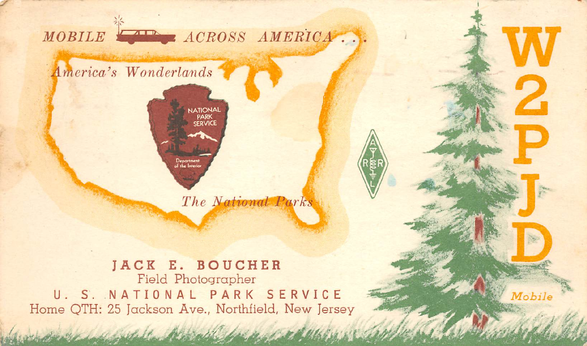

Home QTH: 25 Jackson Ave., Northfield, New Jersey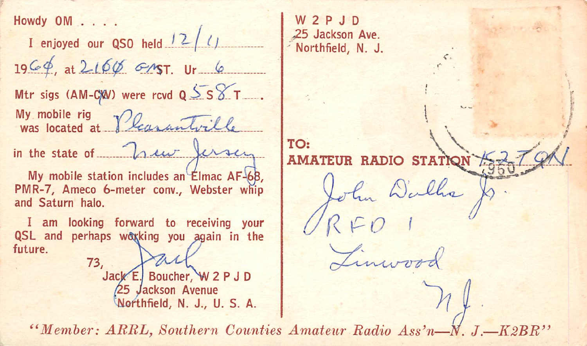Howdy OM . . . .

I enjoyed our QSO held  $12/1$  $1966$ , at 216 $\phi$  GMST. Ur 6 Mtr sigs (AM-CXV) were rcvd  $Q$  SS  $T$ . My mobile rig<br>was located at Pleasantville in the state of how fersen My mobile station includes an Elmac AF-68. PMR-7, Ameco 6-meter conv., Webster whip and Saturn halo. I am looking forward to receiving your

QSL and perhaps working you again in the future  $73.$ 

Jack E. Boucher, W 2 P J D **25 Jackson Avenue** Northfield, N. J., U. S. A.

W<sub>2</sub>PJD 25 Jackson Ave. Northfield, N. J.

TO: **AMATEUR** RADIO STATION ohn Walks

"Member: ARRL, Southern Counties Amateur Radio Ass'n-N  $J-K2BR$ "